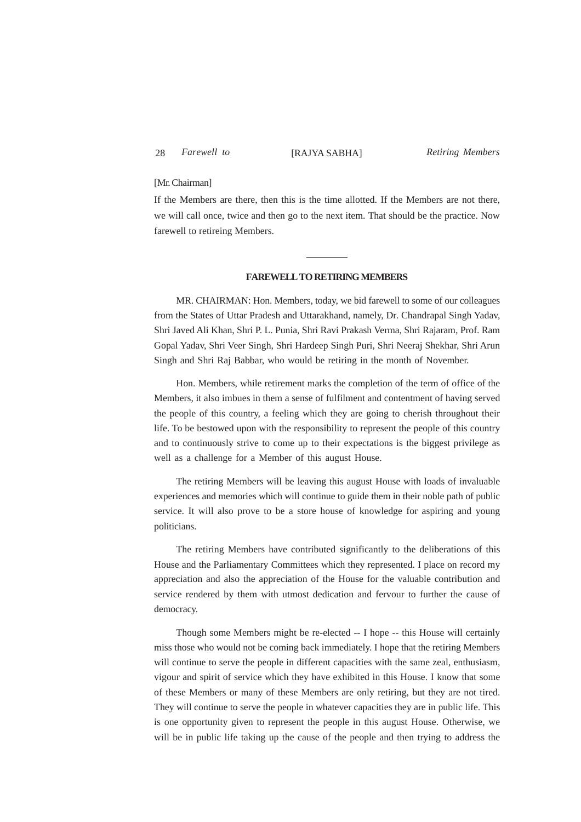## 28 Farewell to [RAJYA SABHA]

*Farewell to Retiring Members*

## [Mr. Chairman]

If the Members are there, then this is the time allotted. If the Members are not there, we will call once, twice and then go to the next item. That should be the practice. Now farewell to retireing Members.

## **FAREWELL TO RETIRING MEMBERS**

MR. CHAIRMAN: Hon. Members, today, we bid farewell to some of our colleagues from the States of Uttar Pradesh and Uttarakhand, namely, Dr. Chandrapal Singh Yadav, Shri Javed Ali Khan, Shri P. L. Punia, Shri Ravi Prakash Verma, Shri Rajaram, Prof. Ram Gopal Yadav, Shri Veer Singh, Shri Hardeep Singh Puri, Shri Neeraj Shekhar, Shri Arun Singh and Shri Raj Babbar, who would be retiring in the month of November.

Hon. Members, while retirement marks the completion of the term of office of the Members, it also imbues in them a sense of fulfilment and contentment of having served the people of this country, a feeling which they are going to cherish throughout their life. To be bestowed upon with the responsibility to represent the people of this country and to continuously strive to come up to their expectations is the biggest privilege as well as a challenge for a Member of this august House.

The retiring Members will be leaving this august House with loads of invaluable experiences and memories which will continue to guide them in their noble path of public service. It will also prove to be a store house of knowledge for aspiring and young politicians.

The retiring Members have contributed significantly to the deliberations of this House and the Parliamentary Committees which they represented. I place on record my appreciation and also the appreciation of the House for the valuable contribution and service rendered by them with utmost dedication and fervour to further the cause of democracy.

Though some Members might be re-elected -- I hope -- this House will certainly miss those who would not be coming back immediately. I hope that the retiring Members will continue to serve the people in different capacities with the same zeal, enthusiasm, vigour and spirit of service which they have exhibited in this House. I know that some of these Members or many of these Members are only retiring, but they are not tired. They will continue to serve the people in whatever capacities they are in public life. This is one opportunity given to represent the people in this august House. Otherwise, we will be in public life taking up the cause of the people and then trying to address the